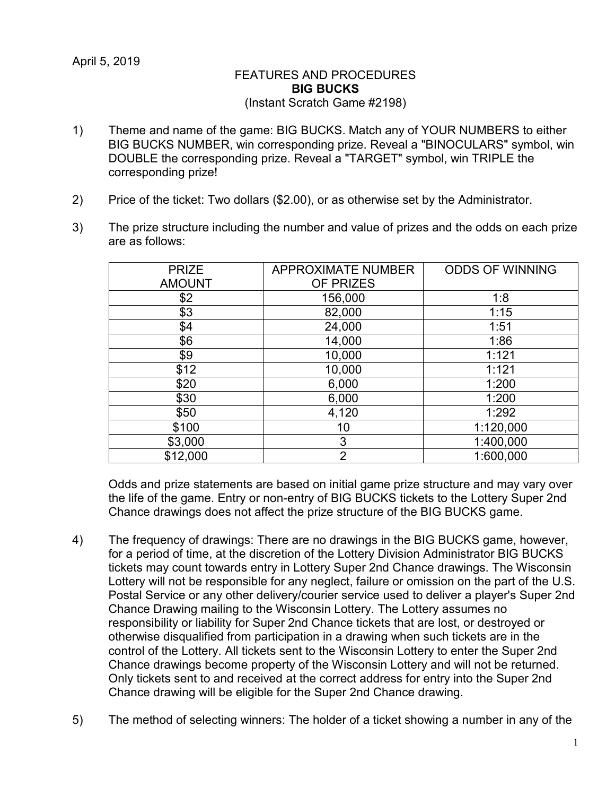## FEATURES AND PROCEDURES **BIG BUCKS** (Instant Scratch Game #2198)

- 1) Theme and name of the game: BIG BUCKS. Match any of YOUR NUMBERS to either BIG BUCKS NUMBER, win corresponding prize. Reveal a "BINOCULARS" symbol, win DOUBLE the corresponding prize. Reveal a "TARGET" symbol, win TRIPLE the corresponding prize!
- 2) Price of the ticket: Two dollars (\$2.00), or as otherwise set by the Administrator.
- 3) The prize structure including the number and value of prizes and the odds on each prize are as follows:

| <b>PRIZE</b>  | <b>APPROXIMATE NUMBER</b> | <b>ODDS OF WINNING</b> |
|---------------|---------------------------|------------------------|
| <b>AMOUNT</b> | OF PRIZES                 |                        |
| \$2           | 156,000                   | 1:8                    |
| \$3           | 82,000                    | 1:15                   |
| \$4           | 24,000                    | 1:51                   |
| \$6           | 14,000                    | 1:86                   |
| \$9           | 10,000                    | 1:121                  |
| \$12          | 10,000                    | 1:121                  |
| \$20          | 6,000                     | 1:200                  |
| \$30          | 6,000                     | 1:200                  |
| \$50          | 4,120                     | 1:292                  |
| \$100         | 10                        | 1:120,000              |
| \$3,000       | 3                         | 1:400,000              |
| \$12,000      | $\overline{2}$            | 1:600,000              |
|               |                           |                        |

Odds and prize statements are based on initial game prize structure and may vary over the life of the game. Entry or non-entry of BIG BUCKS tickets to the Lottery Super 2nd Chance drawings does not affect the prize structure of the BIG BUCKS game.

- 4) The frequency of drawings: There are no drawings in the BIG BUCKS game, however, for a period of time, at the discretion of the Lottery Division Administrator BIG BUCKS tickets may count towards entry in Lottery Super 2nd Chance drawings. The Wisconsin Lottery will not be responsible for any neglect, failure or omission on the part of the U.S. Postal Service or any other delivery/courier service used to deliver a player's Super 2nd Chance Drawing mailing to the Wisconsin Lottery. The Lottery assumes no responsibility or liability for Super 2nd Chance tickets that are lost, or destroyed or otherwise disqualified from participation in a drawing when such tickets are in the control of the Lottery. All tickets sent to the Wisconsin Lottery to enter the Super 2nd Chance drawings become property of the Wisconsin Lottery and will not be returned. Only tickets sent to and received at the correct address for entry into the Super 2nd Chance drawing will be eligible for the Super 2nd Chance drawing.
- 5) The method of selecting winners: The holder of a ticket showing a number in any of the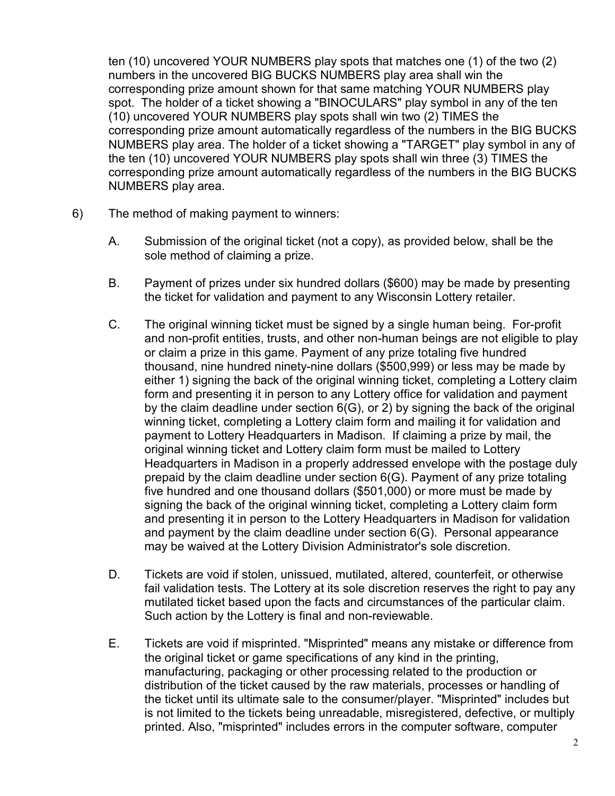ten (10) uncovered YOUR NUMBERS play spots that matches one (1) of the two (2) numbers in the uncovered BIG BUCKS NUMBERS play area shall win the corresponding prize amount shown for that same matching YOUR NUMBERS play spot. The holder of a ticket showing a "BINOCULARS" play symbol in any of the ten (10) uncovered YOUR NUMBERS play spots shall win two (2) TIMES the corresponding prize amount automatically regardless of the numbers in the BIG BUCKS NUMBERS play area. The holder of a ticket showing a "TARGET" play symbol in any of the ten (10) uncovered YOUR NUMBERS play spots shall win three (3) TIMES the corresponding prize amount automatically regardless of the numbers in the BIG BUCKS NUMBERS play area.

- 6) The method of making payment to winners:
	- A. Submission of the original ticket (not a copy), as provided below, shall be the sole method of claiming a prize.
	- B. Payment of prizes under six hundred dollars (\$600) may be made by presenting the ticket for validation and payment to any Wisconsin Lottery retailer.
	- C. The original winning ticket must be signed by a single human being. For-profit and non-profit entities, trusts, and other non-human beings are not eligible to play or claim a prize in this game. Payment of any prize totaling five hundred thousand, nine hundred ninety-nine dollars (\$500,999) or less may be made by either 1) signing the back of the original winning ticket, completing a Lottery claim form and presenting it in person to any Lottery office for validation and payment by the claim deadline under section 6(G), or 2) by signing the back of the original winning ticket, completing a Lottery claim form and mailing it for validation and payment to Lottery Headquarters in Madison. If claiming a prize by mail, the original winning ticket and Lottery claim form must be mailed to Lottery Headquarters in Madison in a properly addressed envelope with the postage duly prepaid by the claim deadline under section 6(G). Payment of any prize totaling five hundred and one thousand dollars (\$501,000) or more must be made by signing the back of the original winning ticket, completing a Lottery claim form and presenting it in person to the Lottery Headquarters in Madison for validation and payment by the claim deadline under section 6(G). Personal appearance may be waived at the Lottery Division Administrator's sole discretion.
	- D. Tickets are void if stolen, unissued, mutilated, altered, counterfeit, or otherwise fail validation tests. The Lottery at its sole discretion reserves the right to pay any mutilated ticket based upon the facts and circumstances of the particular claim. Such action by the Lottery is final and non-reviewable.
	- E. Tickets are void if misprinted. "Misprinted" means any mistake or difference from the original ticket or game specifications of any kind in the printing, manufacturing, packaging or other processing related to the production or distribution of the ticket caused by the raw materials, processes or handling of the ticket until its ultimate sale to the consumer/player. "Misprinted" includes but is not limited to the tickets being unreadable, misregistered, defective, or multiply printed. Also, "misprinted" includes errors in the computer software, computer